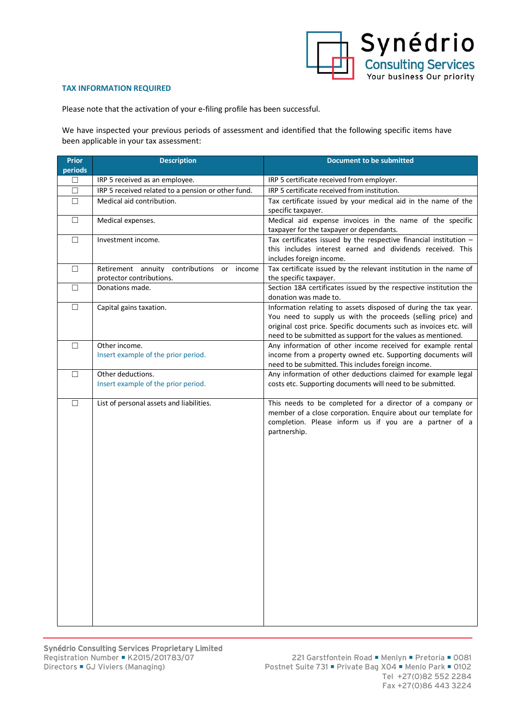

## **TAX INFORMATION REQUIRED**

Please note that the activation of your e-filing profile has been successful.

We have inspected your previous periods of assessment and identified that the following specific items have been applicable in your tax assessment:

| <b>Prior</b><br>periods | <b>Description</b>                                                     | <b>Document to be submitted</b>                                                                                                                                                                                                                                      |
|-------------------------|------------------------------------------------------------------------|----------------------------------------------------------------------------------------------------------------------------------------------------------------------------------------------------------------------------------------------------------------------|
| □                       | IRP 5 received as an employee.                                         | IRP 5 certificate received from employer.                                                                                                                                                                                                                            |
| $\Box$                  | IRP 5 received related to a pension or other fund.                     | IRP 5 certificate received from institution.                                                                                                                                                                                                                         |
| П                       | Medical aid contribution.                                              | Tax certificate issued by your medical aid in the name of the<br>specific taxpayer.                                                                                                                                                                                  |
| $\Box$                  | Medical expenses.                                                      | Medical aid expense invoices in the name of the specific<br>taxpayer for the taxpayer or dependants.                                                                                                                                                                 |
| $\Box$                  | Investment income.                                                     | Tax certificates issued by the respective financial institution $-$<br>this includes interest earned and dividends received. This<br>includes foreign income.                                                                                                        |
| $\Box$                  | Retirement annuity contributions or income<br>protector contributions. | Tax certificate issued by the relevant institution in the name of<br>the specific taxpayer.                                                                                                                                                                          |
| $\Box$                  | Donations made.                                                        | Section 18A certificates issued by the respective institution the<br>donation was made to.                                                                                                                                                                           |
| $\Box$                  | Capital gains taxation.                                                | Information relating to assets disposed of during the tax year.<br>You need to supply us with the proceeds (selling price) and<br>original cost price. Specific documents such as invoices etc. will<br>need to be submitted as support for the values as mentioned. |
| $\Box$                  | Other income.<br>Insert example of the prior period.                   | Any information of other income received for example rental<br>income from a property owned etc. Supporting documents will<br>need to be submitted. This includes foreign income.                                                                                    |
| □                       | Other deductions.<br>Insert example of the prior period.               | Any information of other deductions claimed for example legal<br>costs etc. Supporting documents will need to be submitted.                                                                                                                                          |
| $\Box$                  | List of personal assets and liabilities.                               | This needs to be completed for a director of a company or<br>member of a close corporation. Enquire about our template for<br>completion. Please inform us if you are a partner of a<br>partnership.                                                                 |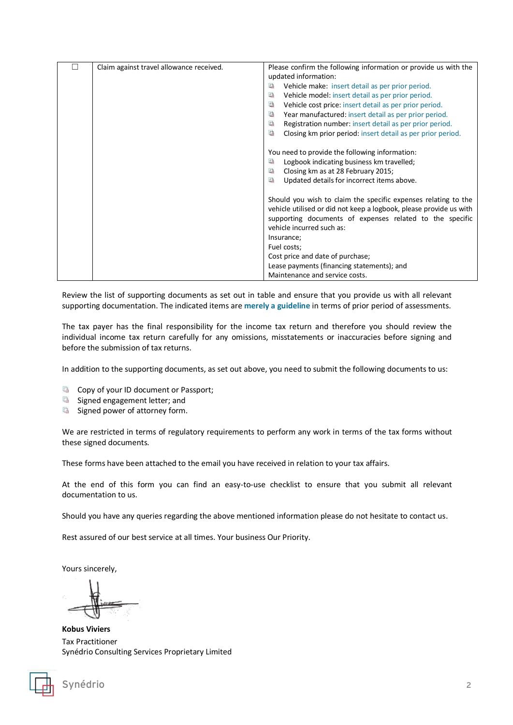| Claim against travel allowance received. | Please confirm the following information or provide us with the    |  |
|------------------------------------------|--------------------------------------------------------------------|--|
|                                          | updated information:                                               |  |
|                                          | 屆<br>Vehicle make: insert detail as per prior period.              |  |
|                                          | $\Box$<br>Vehicle model: insert detail as per prior period.        |  |
|                                          | 国<br>Vehicle cost price: insert detail as per prior period.        |  |
|                                          | $\Box$<br>Year manufactured: insert detail as per prior period.    |  |
|                                          | 屆<br>Registration number: insert detail as per prior period.       |  |
|                                          | 屆<br>Closing km prior period: insert detail as per prior period.   |  |
|                                          |                                                                    |  |
|                                          | You need to provide the following information:                     |  |
|                                          | Logbook indicating business km travelled;<br>區                     |  |
|                                          | Closing km as at 28 February 2015;<br>區                            |  |
|                                          | $\Box$<br>Updated details for incorrect items above.               |  |
|                                          |                                                                    |  |
|                                          | Should you wish to claim the specific expenses relating to the     |  |
|                                          | vehicle utilised or did not keep a logbook, please provide us with |  |
|                                          | supporting documents of expenses related to the specific           |  |
|                                          | vehicle incurred such as:                                          |  |
|                                          | Insurance;                                                         |  |
|                                          | Fuel costs;                                                        |  |
|                                          | Cost price and date of purchase;                                   |  |
|                                          | Lease payments (financing statements); and                         |  |
|                                          | Maintenance and service costs.                                     |  |

Review the list of supporting documents as set out in table and ensure that you provide us with all relevant supporting documentation. The indicated items are **merely a guideline** in terms of prior period of assessments.

The tax payer has the final responsibility for the income tax return and therefore you should review the individual income tax return carefully for any omissions, misstatements or inaccuracies before signing and before the submission of tax returns.

In addition to the supporting documents, as set out above, you need to submit the following documents to us:

- Copy of your ID document or Passport;
- G Signed engagement letter; and
- $\Box$ Signed power of attorney form.

We are restricted in terms of regulatory requirements to perform any work in terms of the tax forms without these signed documents.

These forms have been attached to the email you have received in relation to your tax affairs.

At the end of this form you can find an easy-to-use checklist to ensure that you submit all relevant documentation to us.

Should you have any queries regarding the above mentioned information please do not hesitate to contact us.

Rest assured of our best service at all times. Your business Our Priority.

Yours sincerely,

**Kobus Viviers** Tax Practitioner Synédrio Consulting Services Proprietary Limited